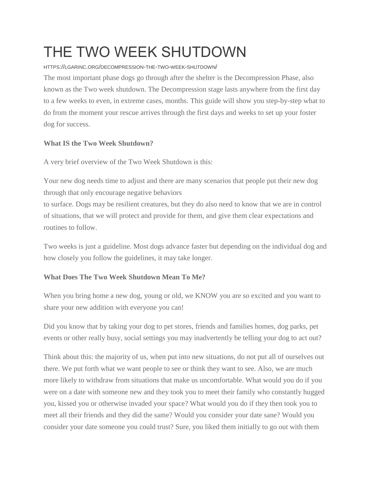# THE TWO WEEK SHUTDOWN

#### HTTPS://LGARINC.ORG/DECOMPRESSION-THE-TWO-WEEK-SHUTDOWN/

The most important phase dogs go through after the shelter is the Decompression Phase, also known as the Two week shutdown. The Decompression stage lasts anywhere from the first day to a few weeks to even, in extreme cases, months. This guide will show you step-by-step what to do from the moment your rescue arrives through the first days and weeks to set up your foster dog for success.

# **What IS the Two Week Shutdown?**

A very brief overview of the Two Week Shutdown is this:

Your new dog needs time to adjust and there are many scenarios that people put their new dog through that only encourage negative behaviors

to surface. Dogs may be resilient creatures, but they do also need to know that we are in control of situations, that we will protect and provide for them, and give them clear expectations and routines to follow.

Two weeks is just a guideline. Most dogs advance faster but depending on the individual dog and how closely you follow the guidelines, it may take longer.

# **What Does The Two Week Shutdown Mean To Me?**

When you bring home a new dog, young or old, we KNOW you are so excited and you want to share your new addition with everyone you can!

Did you know that by taking your dog to pet stores, friends and families homes, dog parks, pet events or other really busy, social settings you may inadvertently be telling your dog to act out?

Think about this: the majority of us, when put into new situations, do not put all of ourselves out there. We put forth what we want people to see or think they want to see. Also, we are much more likely to withdraw from situations that make us uncomfortable. What would you do if you were on a date with someone new and they took you to meet their family who constantly hugged you, kissed you or otherwise invaded your space? What would you do if they then took you to meet all their friends and they did the same? Would you consider your date sane? Would you consider your date someone you could trust? Sure, you liked them initially to go out with them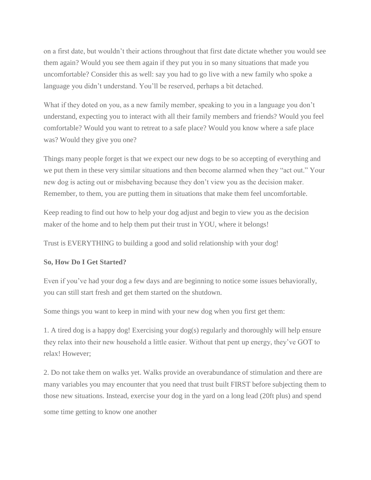on a first date, but wouldn't their actions throughout that first date dictate whether you would see them again? Would you see them again if they put you in so many situations that made you uncomfortable? Consider this as well: say you had to go live with a new family who spoke a language you didn't understand. You'll be reserved, perhaps a bit detached.

What if they doted on you, as a new family member, speaking to you in a language you don't understand, expecting you to interact with all their family members and friends? Would you feel comfortable? Would you want to retreat to a safe place? Would you know where a safe place was? Would they give you one?

Things many people forget is that we expect our new dogs to be so accepting of everything and we put them in these very similar situations and then become alarmed when they "act out." Your new dog is acting out or misbehaving because they don't view you as the decision maker. Remember, to them, you are putting them in situations that make them feel uncomfortable.

Keep reading to find out how to help your dog adjust and begin to view you as the decision maker of the home and to help them put their trust in YOU, where it belongs!

Trust is EVERYTHING to building a good and solid relationship with your dog!

## **So, How Do I Get Started?**

Even if you've had your dog a few days and are beginning to notice some issues behaviorally, you can still start fresh and get them started on the shutdown.

Some things you want to keep in mind with your new dog when you first get them:

1. A tired dog is a happy dog! Exercising your dog(s) regularly and thoroughly will help ensure they relax into their new household a little easier. Without that pent up energy, they've GOT to relax! However;

2. Do not take them on walks yet. Walks provide an overabundance of stimulation and there are many variables you may encounter that you need that trust built FIRST before subjecting them to those new situations. Instead, exercise your dog in the yard on a long lead (20ft plus) and spend

some time getting to know one another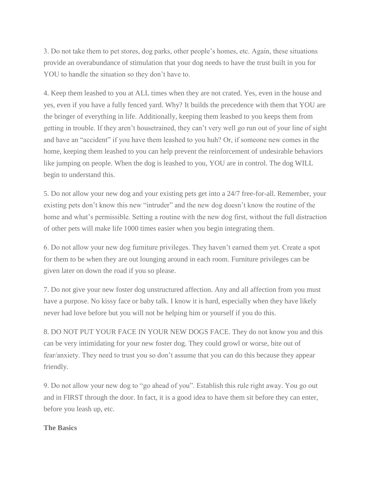3. Do not take them to pet stores, dog parks, other people's homes, etc. Again, these situations provide an overabundance of stimulation that your dog needs to have the trust built in you for YOU to handle the situation so they don't have to.

4. Keep them leashed to you at ALL times when they are not crated. Yes, even in the house and yes, even if you have a fully fenced yard. Why? It builds the precedence with them that YOU are the bringer of everything in life. Additionally, keeping them leashed to you keeps them from getting in trouble. If they aren't housetrained, they can't very well go run out of your line of sight and have an "accident" if you have them leashed to you huh? Or, if someone new comes in the home, keeping them leashed to you can help prevent the reinforcement of undesirable behaviors like jumping on people. When the dog is leashed to you, YOU are in control. The dog WILL begin to understand this.

5. Do not allow your new dog and your existing pets get into a 24/7 free-for-all. Remember, your existing pets don't know this new "intruder" and the new dog doesn't know the routine of the home and what's permissible. Setting a routine with the new dog first, without the full distraction of other pets will make life 1000 times easier when you begin integrating them.

6. Do not allow your new dog furniture privileges. They haven't earned them yet. Create a spot for them to be when they are out lounging around in each room. Furniture privileges can be given later on down the road if you so please.

7. Do not give your new foster dog unstructured affection. Any and all affection from you must have a purpose. No kissy face or baby talk. I know it is hard, especially when they have likely never had love before but you will not be helping him or yourself if you do this.

8. DO NOT PUT YOUR FACE IN YOUR NEW DOGS FACE. They do not know you and this can be very intimidating for your new foster dog. They could growl or worse, bite out of fear/anxiety. They need to trust you so don't assume that you can do this because they appear friendly.

9. Do not allow your new dog to "go ahead of you". Establish this rule right away. You go out and in FIRST through the door. In fact, it is a good idea to have them sit before they can enter, before you leash up, etc.

#### **The Basics**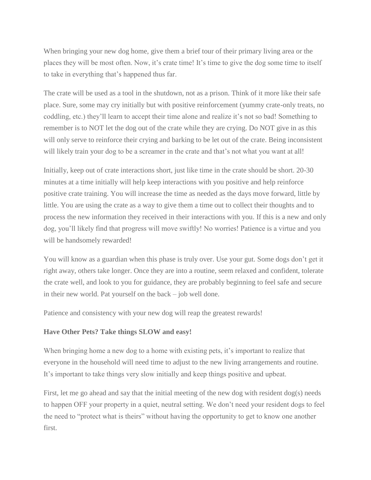When bringing your new dog home, give them a brief tour of their primary living area or the places they will be most often. Now, it's crate time! It's time to give the dog some time to itself to take in everything that's happened thus far.

The crate will be used as a tool in the shutdown, not as a prison. Think of it more like their safe place. Sure, some may cry initially but with positive reinforcement (yummy crate-only treats, no coddling, etc.) they'll learn to accept their time alone and realize it's not so bad! Something to remember is to NOT let the dog out of the crate while they are crying. Do NOT give in as this will only serve to reinforce their crying and barking to be let out of the crate. Being inconsistent will likely train your dog to be a screamer in the crate and that's not what you want at all!

Initially, keep out of crate interactions short, just like time in the crate should be short. 20-30 minutes at a time initially will help keep interactions with you positive and help reinforce positive crate training. You will increase the time as needed as the days move forward, little by little. You are using the crate as a way to give them a time out to collect their thoughts and to process the new information they received in their interactions with you. If this is a new and only dog, you'll likely find that progress will move swiftly! No worries! Patience is a virtue and you will be handsomely rewarded!

You will know as a guardian when this phase is truly over. Use your gut. Some dogs don't get it right away, others take longer. Once they are into a routine, seem relaxed and confident, tolerate the crate well, and look to you for guidance, they are probably beginning to feel safe and secure in their new world. Pat yourself on the back – job well done.

Patience and consistency with your new dog will reap the greatest rewards!

## **Have Other Pets? Take things SLOW and easy!**

When bringing home a new dog to a home with existing pets, it's important to realize that everyone in the household will need time to adjust to the new living arrangements and routine. It's important to take things very slow initially and keep things positive and upbeat.

First, let me go ahead and say that the initial meeting of the new dog with resident dog(s) needs to happen OFF your property in a quiet, neutral setting. We don't need your resident dogs to feel the need to "protect what is theirs" without having the opportunity to get to know one another first.